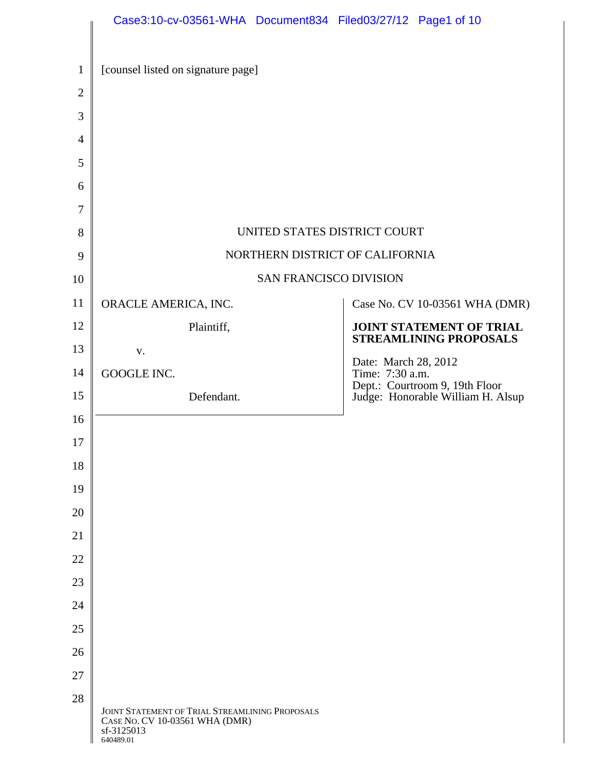|                | Case3:10-cv-03561-WHA Document834 Filed03/27/12 Page1 of 10                                                  |                                         |                                                                     |
|----------------|--------------------------------------------------------------------------------------------------------------|-----------------------------------------|---------------------------------------------------------------------|
| $\mathbf{1}$   | [counsel listed on signature page]                                                                           |                                         |                                                                     |
| $\overline{2}$ |                                                                                                              |                                         |                                                                     |
| 3              |                                                                                                              |                                         |                                                                     |
| $\overline{4}$ |                                                                                                              |                                         |                                                                     |
| 5              |                                                                                                              |                                         |                                                                     |
| 6              |                                                                                                              |                                         |                                                                     |
| 7              |                                                                                                              |                                         |                                                                     |
| 8              |                                                                                                              | UNITED STATES DISTRICT COURT            |                                                                     |
| 9              | NORTHERN DISTRICT OF CALIFORNIA                                                                              |                                         |                                                                     |
| 10             |                                                                                                              | <b>SAN FRANCISCO DIVISION</b>           |                                                                     |
| 11             | ORACLE AMERICA, INC.                                                                                         |                                         | Case No. CV 10-03561 WHA (DMR)                                      |
| 12             | Plaintiff,                                                                                                   |                                         | <b>JOINT STATEMENT OF TRIAL</b>                                     |
| 13             | V.                                                                                                           |                                         | <b>STREAMLINING PROPOSALS</b>                                       |
| 14             | GOOGLE INC.                                                                                                  | Date: March 28, 2012<br>Time: 7:30 a.m. |                                                                     |
| 15             | Defendant.                                                                                                   |                                         | Dept.: Courtroom 9, 19th Floor<br>Judge: Honorable William H. Alsup |
| 16             |                                                                                                              |                                         |                                                                     |
| 17             |                                                                                                              |                                         |                                                                     |
| 18             |                                                                                                              |                                         |                                                                     |
| 19             |                                                                                                              |                                         |                                                                     |
| 20             |                                                                                                              |                                         |                                                                     |
| 21             |                                                                                                              |                                         |                                                                     |
| 22             |                                                                                                              |                                         |                                                                     |
| 23             |                                                                                                              |                                         |                                                                     |
| 24             |                                                                                                              |                                         |                                                                     |
| 25             |                                                                                                              |                                         |                                                                     |
| 26             |                                                                                                              |                                         |                                                                     |
| 27             |                                                                                                              |                                         |                                                                     |
| 28             | JOINT STATEMENT OF TRIAL STREAMLINING PROPOSALS<br>CASE No. CV 10-03561 WHA (DMR)<br>sf-3125013<br>640489.01 |                                         |                                                                     |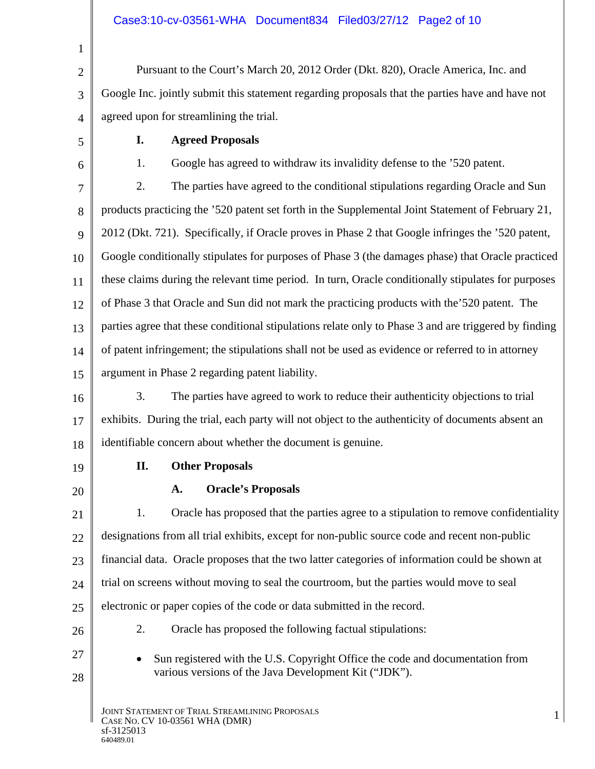| 1              |                                                                                                                                                     |  |  |
|----------------|-----------------------------------------------------------------------------------------------------------------------------------------------------|--|--|
| $\overline{2}$ | Pursuant to the Court's March 20, 2012 Order (Dkt. 820), Oracle America, Inc. and                                                                   |  |  |
| 3              | Google Inc. jointly submit this statement regarding proposals that the parties have and have not                                                    |  |  |
| $\overline{4}$ | agreed upon for streamlining the trial.                                                                                                             |  |  |
| 5              | <b>Agreed Proposals</b><br>I.                                                                                                                       |  |  |
| 6              | Google has agreed to withdraw its invalidity defense to the '520 patent.<br>1.                                                                      |  |  |
| 7              | 2.<br>The parties have agreed to the conditional stipulations regarding Oracle and Sun                                                              |  |  |
| 8              | products practicing the '520 patent set forth in the Supplemental Joint Statement of February 21,                                                   |  |  |
| 9              | 2012 (Dkt. 721). Specifically, if Oracle proves in Phase 2 that Google infringes the '520 patent,                                                   |  |  |
| 10             | Google conditionally stipulates for purposes of Phase 3 (the damages phase) that Oracle practiced                                                   |  |  |
| 11             | these claims during the relevant time period. In turn, Oracle conditionally stipulates for purposes                                                 |  |  |
| 12             | of Phase 3 that Oracle and Sun did not mark the practicing products with the 520 patent. The                                                        |  |  |
| 13             | parties agree that these conditional stipulations relate only to Phase 3 and are triggered by finding                                               |  |  |
| 14             | of patent infringement; the stipulations shall not be used as evidence or referred to in attorney                                                   |  |  |
| 15             | argument in Phase 2 regarding patent liability.                                                                                                     |  |  |
| 16             | 3.<br>The parties have agreed to work to reduce their authenticity objections to trial                                                              |  |  |
| 17             | exhibits. During the trial, each party will not object to the authenticity of documents absent an                                                   |  |  |
| 18             | identifiable concern about whether the document is genuine.                                                                                         |  |  |
| 19             | П.<br><b>Other Proposals</b>                                                                                                                        |  |  |
| 20             | <b>Oracle's Proposals</b><br>A.                                                                                                                     |  |  |
| 21             | 1.<br>Oracle has proposed that the parties agree to a stipulation to remove confidentiality                                                         |  |  |
| 22             | designations from all trial exhibits, except for non-public source code and recent non-public                                                       |  |  |
| 23             | financial data. Oracle proposes that the two latter categories of information could be shown at                                                     |  |  |
| 24             | trial on screens without moving to seal the courtroom, but the parties would move to seal                                                           |  |  |
| 25             | electronic or paper copies of the code or data submitted in the record.                                                                             |  |  |
| 26             | 2.<br>Oracle has proposed the following factual stipulations:                                                                                       |  |  |
| 27<br>28       | Sun registered with the U.S. Copyright Office the code and documentation from<br>$\bullet$<br>various versions of the Java Development Kit ("JDK"). |  |  |
|                | JOINT STATEMENT OF TRIAL STREAMLINING PROPOSALS<br>$\mathbf{1}$<br>CASE No. CV 10-03561 WHA (DMR)                                                   |  |  |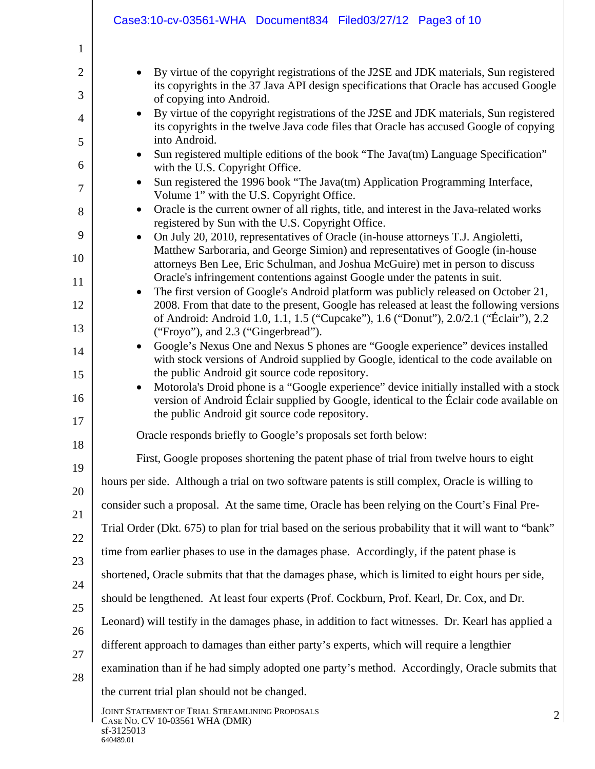|                | Case3:10-cv-03561-WHA Document834 Filed03/27/12 Page3 of 10                                                                                                                                     |  |  |
|----------------|-------------------------------------------------------------------------------------------------------------------------------------------------------------------------------------------------|--|--|
| $\mathbf{1}$   |                                                                                                                                                                                                 |  |  |
| $\overline{2}$ | By virtue of the copyright registrations of the J2SE and JDK materials, Sun registered                                                                                                          |  |  |
| 3              | its copyrights in the 37 Java API design specifications that Oracle has accused Google                                                                                                          |  |  |
| $\overline{4}$ | of copying into Android.<br>By virtue of the copyright registrations of the J2SE and JDK materials, Sun registered<br>$\bullet$                                                                 |  |  |
| 5              | its copyrights in the twelve Java code files that Oracle has accused Google of copying<br>into Android.                                                                                         |  |  |
|                | Sun registered multiple editions of the book "The Java(tm) Language Specification"<br>$\bullet$                                                                                                 |  |  |
| 6              | with the U.S. Copyright Office.<br>Sun registered the 1996 book "The Java(tm) Application Programming Interface,<br>$\bullet$                                                                   |  |  |
| 7              | Volume 1" with the U.S. Copyright Office.                                                                                                                                                       |  |  |
| 8              | Oracle is the current owner of all rights, title, and interest in the Java-related works<br>$\bullet$<br>registered by Sun with the U.S. Copyright Office.                                      |  |  |
| 9              | On July 20, 2010, representatives of Oracle (in-house attorneys T.J. Angioletti,<br>$\bullet$<br>Matthew Sarboraria, and George Simion) and representatives of Google (in-house                 |  |  |
| 10             | attorneys Ben Lee, Eric Schulman, and Joshua McGuire) met in person to discuss                                                                                                                  |  |  |
| 11             | Oracle's infringement contentions against Google under the patents in suit.<br>The first version of Google's Android platform was publicly released on October 21,<br>$\bullet$                 |  |  |
| 12             | 2008. From that date to the present, Google has released at least the following versions<br>of Android: Android 1.0, 1.1, 1.5 ("Cupcake"), 1.6 ("Donut"), 2.0/2.1 ("Éclair"), 2.2               |  |  |
| 13             | ("Froyo"), and 2.3 ("Gingerbread").                                                                                                                                                             |  |  |
| 14             | Google's Nexus One and Nexus S phones are "Google experience" devices installed<br>$\bullet$<br>with stock versions of Android supplied by Google, identical to the code available on           |  |  |
| 15             | the public Android git source code repository.                                                                                                                                                  |  |  |
| 16             | Motorola's Droid phone is a "Google experience" device initially installed with a stock<br>$\bullet$<br>version of Android Éclair supplied by Google, identical to the Éclair code available on |  |  |
| 17             | the public Android git source code repository.                                                                                                                                                  |  |  |
| 18             | Oracle responds briefly to Google's proposals set forth below:                                                                                                                                  |  |  |
| 19             | First, Google proposes shortening the patent phase of trial from twelve hours to eight                                                                                                          |  |  |
| 20             | hours per side. Although a trial on two software patents is still complex, Oracle is willing to                                                                                                 |  |  |
| 21             | consider such a proposal. At the same time, Oracle has been relying on the Court's Final Pre-                                                                                                   |  |  |
| 22             | Trial Order (Dkt. 675) to plan for trial based on the serious probability that it will want to "bank"                                                                                           |  |  |
| 23             | time from earlier phases to use in the damages phase. Accordingly, if the patent phase is                                                                                                       |  |  |
| 24             | shortened, Oracle submits that that the damages phase, which is limited to eight hours per side,                                                                                                |  |  |
| 25             | should be lengthened. At least four experts (Prof. Cockburn, Prof. Kearl, Dr. Cox, and Dr.                                                                                                      |  |  |
|                | Leonard) will testify in the damages phase, in addition to fact witnesses. Dr. Kearl has applied a                                                                                              |  |  |
| 26             | different approach to damages than either party's experts, which will require a lengthier                                                                                                       |  |  |
| 27             | examination than if he had simply adopted one party's method. Accordingly, Oracle submits that                                                                                                  |  |  |
| 28             | the current trial plan should not be changed.                                                                                                                                                   |  |  |
|                | JOINT STATEMENT OF TRIAL STREAMLINING PROPOSALS<br>$\overline{2}$                                                                                                                               |  |  |
|                | CASE No. CV 10-03561 WHA (DMR)<br>sf-3125013<br>640489.01                                                                                                                                       |  |  |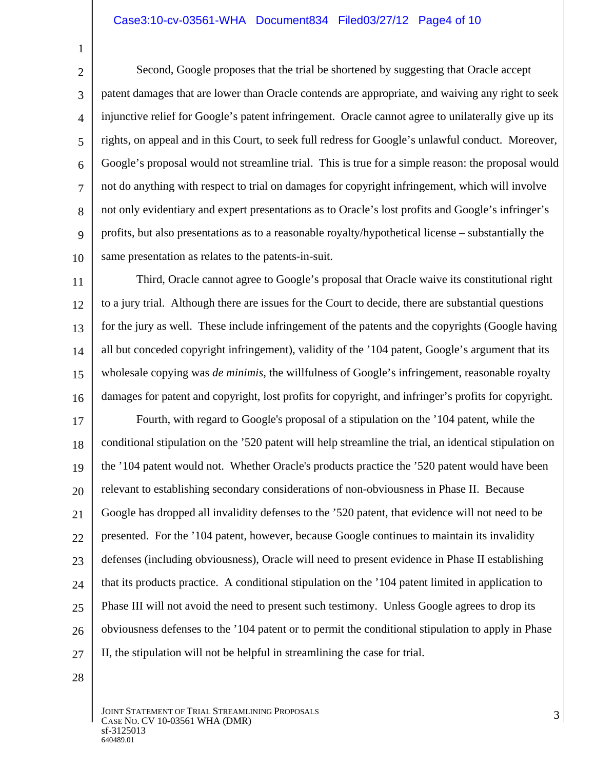## Case3:10-cv-03561-WHA Document834 Filed03/27/12 Page4 of 10

2 3 4 5 6 7 8 9 10 Second, Google proposes that the trial be shortened by suggesting that Oracle accept patent damages that are lower than Oracle contends are appropriate, and waiving any right to seek injunctive relief for Google's patent infringement. Oracle cannot agree to unilaterally give up its rights, on appeal and in this Court, to seek full redress for Google's unlawful conduct. Moreover, Google's proposal would not streamline trial. This is true for a simple reason: the proposal would not do anything with respect to trial on damages for copyright infringement, which will involve not only evidentiary and expert presentations as to Oracle's lost profits and Google's infringer's profits, but also presentations as to a reasonable royalty/hypothetical license – substantially the same presentation as relates to the patents-in-suit.

11 12 13 14 15 16 Third, Oracle cannot agree to Google's proposal that Oracle waive its constitutional right to a jury trial. Although there are issues for the Court to decide, there are substantial questions for the jury as well. These include infringement of the patents and the copyrights (Google having all but conceded copyright infringement), validity of the '104 patent, Google's argument that its wholesale copying was *de minimis*, the willfulness of Google's infringement, reasonable royalty damages for patent and copyright, lost profits for copyright, and infringer's profits for copyright.

17 18 19 20 21 22 23 24 25 26 27 Fourth, with regard to Google's proposal of a stipulation on the '104 patent, while the conditional stipulation on the '520 patent will help streamline the trial, an identical stipulation on the '104 patent would not. Whether Oracle's products practice the '520 patent would have been relevant to establishing secondary considerations of non-obviousness in Phase II. Because Google has dropped all invalidity defenses to the '520 patent, that evidence will not need to be presented. For the '104 patent, however, because Google continues to maintain its invalidity defenses (including obviousness), Oracle will need to present evidence in Phase II establishing that its products practice. A conditional stipulation on the '104 patent limited in application to Phase III will not avoid the need to present such testimony. Unless Google agrees to drop its obviousness defenses to the '104 patent or to permit the conditional stipulation to apply in Phase II, the stipulation will not be helpful in streamlining the case for trial.

28

1

JOINT STATEMENT OF TRIAL STREAMLINING PROPOSALS JOINT STATEMENT OF TRIAL STREAMLINING PROPOSALS<br>CASE NO. CV 10-03561 WHA (DMR) 3 sf-3125013<br>640489.01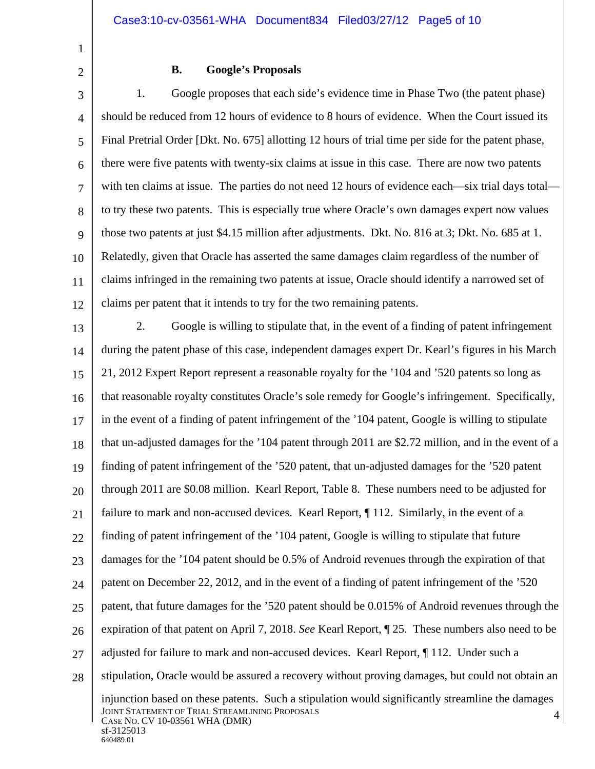1 2

## **B. Google's Proposals**

3 4 5 6 7 8 9 10 11 12 1. Google proposes that each side's evidence time in Phase Two (the patent phase) should be reduced from 12 hours of evidence to 8 hours of evidence. When the Court issued its Final Pretrial Order [Dkt. No. 675] allotting 12 hours of trial time per side for the patent phase, there were five patents with twenty-six claims at issue in this case. There are now two patents with ten claims at issue. The parties do not need 12 hours of evidence each—six trial days totalto try these two patents. This is especially true where Oracle's own damages expert now values those two patents at just \$4.15 million after adjustments. Dkt. No. 816 at 3; Dkt. No. 685 at 1. Relatedly, given that Oracle has asserted the same damages claim regardless of the number of claims infringed in the remaining two patents at issue, Oracle should identify a narrowed set of claims per patent that it intends to try for the two remaining patents.

13 14 15 16 17 18 19 20 21 22 23 24 25 26 27 28 JOINT STATEMENT OF TRIAL STREAMLINING PROPOSALS JOINT STATEMENT OF TRIAL STREAMLINING PROPOSALS<br>CASE NO. CV 10-03561 WHA (DMR) 4 sf-3125013<br>640489.01 2. Google is willing to stipulate that, in the event of a finding of patent infringement during the patent phase of this case, independent damages expert Dr. Kearl's figures in his March 21, 2012 Expert Report represent a reasonable royalty for the '104 and '520 patents so long as that reasonable royalty constitutes Oracle's sole remedy for Google's infringement. Specifically, in the event of a finding of patent infringement of the '104 patent, Google is willing to stipulate that un-adjusted damages for the '104 patent through 2011 are \$2.72 million, and in the event of a finding of patent infringement of the '520 patent, that un-adjusted damages for the '520 patent through 2011 are \$0.08 million. Kearl Report, Table 8. These numbers need to be adjusted for failure to mark and non-accused devices. Kearl Report, ¶ 112. Similarly, in the event of a finding of patent infringement of the '104 patent, Google is willing to stipulate that future damages for the '104 patent should be 0.5% of Android revenues through the expiration of that patent on December 22, 2012, and in the event of a finding of patent infringement of the '520 patent, that future damages for the '520 patent should be 0.015% of Android revenues through the expiration of that patent on April 7, 2018. *See* Kearl Report, ¶ 25. These numbers also need to be adjusted for failure to mark and non-accused devices. Kearl Report, ¶ 112. Under such a stipulation, Oracle would be assured a recovery without proving damages, but could not obtain an injunction based on these patents. Such a stipulation would significantly streamline the damages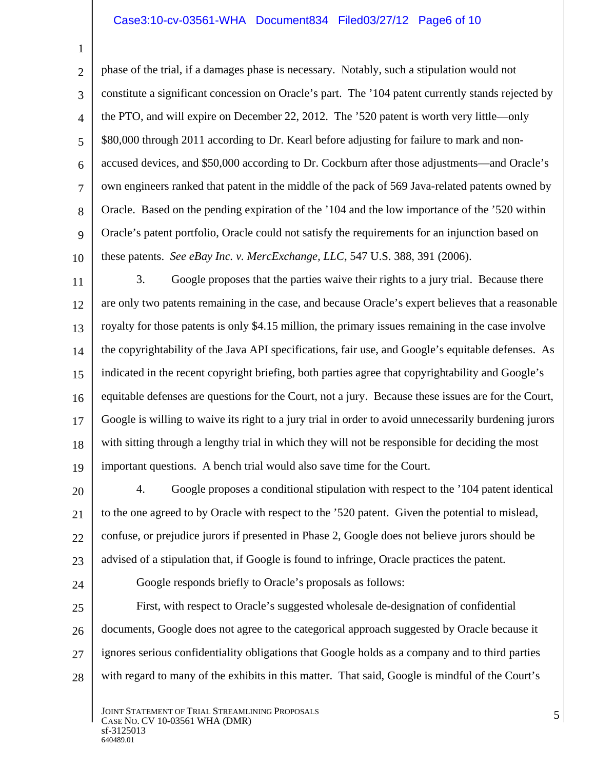## Case3:10-cv-03561-WHA Document834 Filed03/27/12 Page6 of 10

2 3 4 5 6 7 8 9 10 phase of the trial, if a damages phase is necessary. Notably, such a stipulation would not constitute a significant concession on Oracle's part. The '104 patent currently stands rejected by the PTO, and will expire on December 22, 2012. The '520 patent is worth very little—only \$80,000 through 2011 according to Dr. Kearl before adjusting for failure to mark and nonaccused devices, and \$50,000 according to Dr. Cockburn after those adjustments—and Oracle's own engineers ranked that patent in the middle of the pack of 569 Java-related patents owned by Oracle. Based on the pending expiration of the '104 and the low importance of the '520 within Oracle's patent portfolio, Oracle could not satisfy the requirements for an injunction based on these patents. *See eBay Inc. v. MercExchange, LLC*, 547 U.S. 388, 391 (2006).

11 12 13 14 15 16 17 18 19 3. Google proposes that the parties waive their rights to a jury trial. Because there are only two patents remaining in the case, and because Oracle's expert believes that a reasonable royalty for those patents is only \$4.15 million, the primary issues remaining in the case involve the copyrightability of the Java API specifications, fair use, and Google's equitable defenses. As indicated in the recent copyright briefing, both parties agree that copyrightability and Google's equitable defenses are questions for the Court, not a jury. Because these issues are for the Court, Google is willing to waive its right to a jury trial in order to avoid unnecessarily burdening jurors with sitting through a lengthy trial in which they will not be responsible for deciding the most important questions. A bench trial would also save time for the Court.

- 20 21 22 23 4. Google proposes a conditional stipulation with respect to the '104 patent identical to the one agreed to by Oracle with respect to the '520 patent. Given the potential to mislead, confuse, or prejudice jurors if presented in Phase 2, Google does not believe jurors should be advised of a stipulation that, if Google is found to infringe, Oracle practices the patent.
- 24

1

Google responds briefly to Oracle's proposals as follows:

25 26 27 28 First, with respect to Oracle's suggested wholesale de-designation of confidential documents, Google does not agree to the categorical approach suggested by Oracle because it ignores serious confidentiality obligations that Google holds as a company and to third parties with regard to many of the exhibits in this matter. That said, Google is mindful of the Court's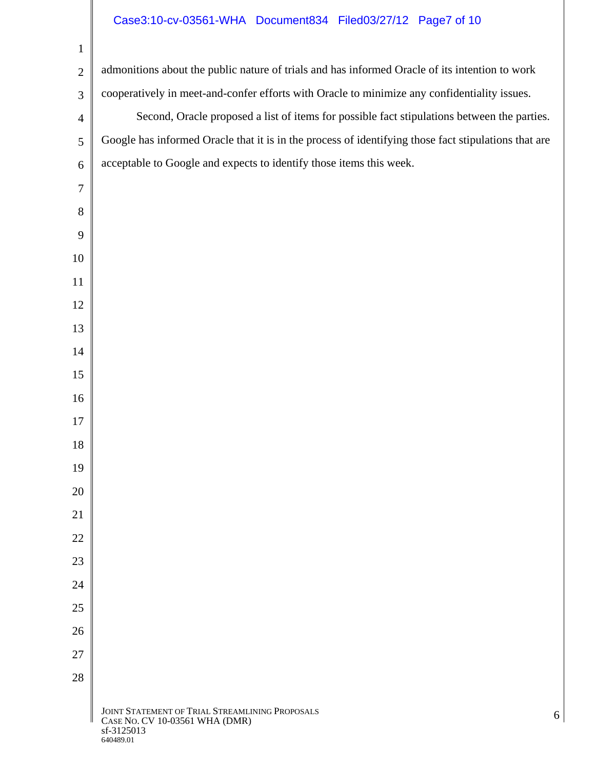## Case3:10-cv-03561-WHA Document834 Filed03/27/12 Page7 of 10

| $\mathbf{1}$   |                                                                                                                   |
|----------------|-------------------------------------------------------------------------------------------------------------------|
| $\overline{2}$ | admonitions about the public nature of trials and has informed Oracle of its intention to work                    |
| 3              | cooperatively in meet-and-confer efforts with Oracle to minimize any confidentiality issues.                      |
| $\overline{4}$ | Second, Oracle proposed a list of items for possible fact stipulations between the parties.                       |
| 5              | Google has informed Oracle that it is in the process of identifying those fact stipulations that are              |
| 6              | acceptable to Google and expects to identify those items this week.                                               |
| $\tau$         |                                                                                                                   |
| 8              |                                                                                                                   |
| 9              |                                                                                                                   |
| 10             |                                                                                                                   |
| 11             |                                                                                                                   |
| 12             |                                                                                                                   |
| 13             |                                                                                                                   |
| 14             |                                                                                                                   |
| 15             |                                                                                                                   |
| 16             |                                                                                                                   |
| 17             |                                                                                                                   |
| 18             |                                                                                                                   |
| 19             |                                                                                                                   |
| 20             |                                                                                                                   |
| 21             |                                                                                                                   |
| 22             |                                                                                                                   |
| 23             |                                                                                                                   |
| 24             |                                                                                                                   |
| 25             |                                                                                                                   |
| 26             |                                                                                                                   |
| 27             |                                                                                                                   |
| 28             |                                                                                                                   |
|                | JOINT STATEMENT OF TRIAL STREAMLINING PROPOSALS<br>6<br>CASE No. CV 10-03561 WHA (DMR)<br>sf-3125013<br>640489.01 |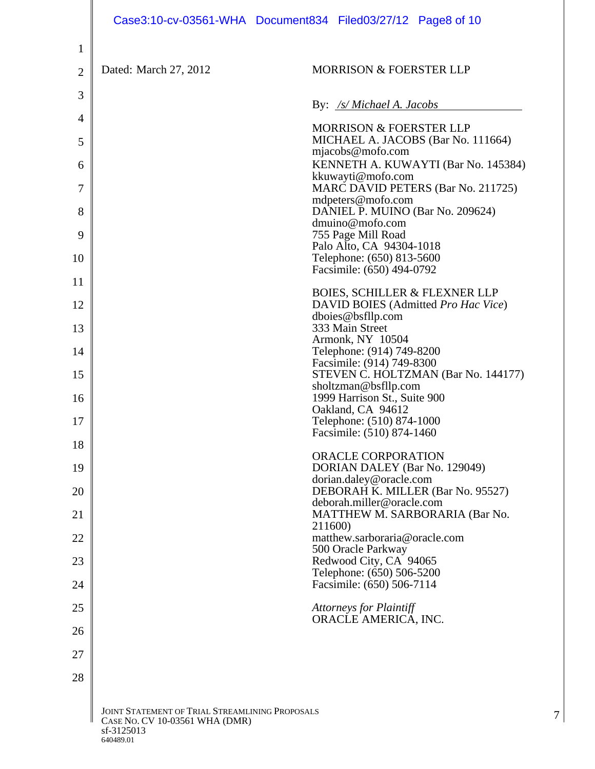|                |                                                                                                              | Case3:10-cv-03561-WHA Document834 Filed03/27/12 Page8 of 10                        |
|----------------|--------------------------------------------------------------------------------------------------------------|------------------------------------------------------------------------------------|
| $\mathbf{1}$   |                                                                                                              |                                                                                    |
| $\overline{2}$ | Dated: March 27, 2012                                                                                        | <b>MORRISON &amp; FOERSTER LLP</b>                                                 |
| 3              |                                                                                                              | By: /s/ Michael A. Jacobs                                                          |
| 4              |                                                                                                              | <b>MORRISON &amp; FOERSTER LLP</b>                                                 |
| 5              |                                                                                                              | MICHAEL A. JACOBS (Bar No. 111664)                                                 |
| 6              |                                                                                                              | mjacobs@mofo.com<br>KENNETH A. KUWAYTI (Bar No. 145384)                            |
| 7              |                                                                                                              | kkuwayti@mofo.com<br>MARC DAVID PETERS (Bar No. 211725)                            |
| 8              |                                                                                                              | mdpeters@mofo.com<br>DANIEL P. MUINO (Bar No. 209624)                              |
| 9              |                                                                                                              | dmuino@mofo.com<br>755 Page Mill Road                                              |
| 10             |                                                                                                              | Palo Alto, CA 94304-1018<br>Telephone: (650) 813-5600<br>Facsimile: (650) 494-0792 |
| 11             |                                                                                                              | <b>BOIES, SCHILLER &amp; FLEXNER LLP</b>                                           |
| 12             |                                                                                                              | DAVID BOIES (Admitted Pro Hac Vice)<br>dboies@bsfllp.com                           |
| 13             |                                                                                                              | 333 Main Street<br>Armonk, NY 10504                                                |
| 14             |                                                                                                              | Telephone: (914) 749-8200<br>Facsimile: (914) 749-8300                             |
| 15             |                                                                                                              | STEVEN C. HOLTZMAN (Bar No. 144177)<br>sholtzman@bsfllp.com                        |
| 16             |                                                                                                              | 1999 Harrison St., Suite 900<br>Oakland, CA 94612                                  |
| 17             |                                                                                                              | Telephone: (510) 874-1000<br>Facsimile: (510) 874-1460                             |
| 18             |                                                                                                              | ORACLE CORPORATION                                                                 |
| 19             |                                                                                                              | DORIAN DALEY (Bar No. 129049)<br>dorian.daley@oracle.com                           |
| 20             |                                                                                                              | DEBORAH K. MILLER (Bar No. 95527)<br>deborah.miller@oracle.com                     |
| 21             |                                                                                                              | MATTHEW M. SARBORARIA (Bar No.                                                     |
| 22             |                                                                                                              | 211600)<br>matthew.sarboraria@oracle.com                                           |
| 23             |                                                                                                              | 500 Oracle Parkway<br>Redwood City, CA 94065<br>Telephone: (650) 506-5200          |
| 24             |                                                                                                              | Facsimile: (650) 506-7114                                                          |
| 25             |                                                                                                              | <b>Attorneys for Plaintiff</b><br>ORACLE AMERICA, INC.                             |
| 26             |                                                                                                              |                                                                                    |
| 27             |                                                                                                              |                                                                                    |
| 28             |                                                                                                              |                                                                                    |
|                | JOINT STATEMENT OF TRIAL STREAMLINING PROPOSALS<br>CASE NO. CV 10-03561 WHA (DMR)<br>sf-3125013<br>640489.01 |                                                                                    |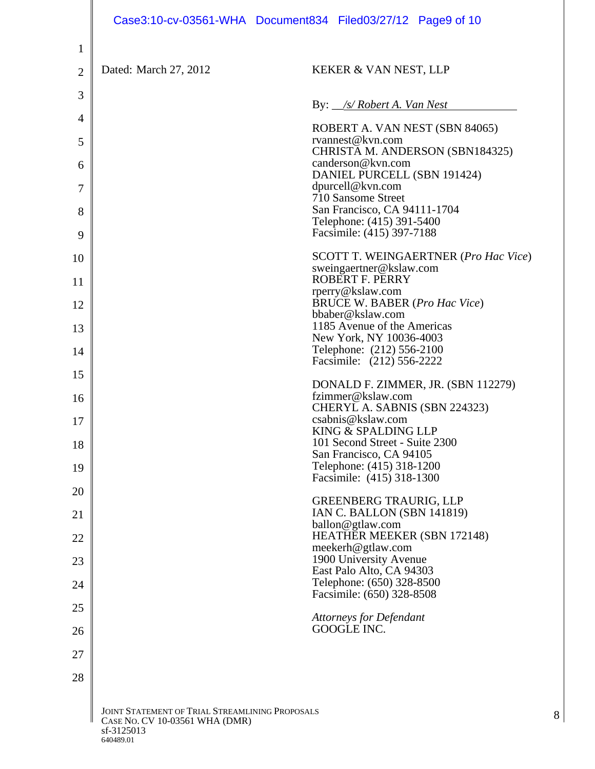|                |                                                                                                              | Case3:10-cv-03561-WHA Document834 Filed03/27/12 Page9 of 10                                      |
|----------------|--------------------------------------------------------------------------------------------------------------|--------------------------------------------------------------------------------------------------|
| $\mathbf{1}$   |                                                                                                              |                                                                                                  |
| $\overline{2}$ | Dated: March 27, 2012                                                                                        | KEKER & VAN NEST, LLP                                                                            |
| 3              |                                                                                                              | By: <i>_/s/ Robert A. Van Nest</i>                                                               |
| 4              |                                                                                                              | ROBERT A. VAN NEST (SBN 84065)                                                                   |
| 5              |                                                                                                              | rvannest@kvn.com<br>CHRISTA M. ANDERSON (SBN184325)                                              |
| 6              |                                                                                                              | canderson@kvn.com<br>DANIEL PURCELL (SBN 191424)                                                 |
| 7              |                                                                                                              | dpurcell@kvn.com<br>710 Sansome Street                                                           |
| 8              |                                                                                                              | San Francisco, CA 94111-1704<br>Telephone: (415) 391-5400                                        |
| 9              |                                                                                                              | Facsimile: (415) 397-7188                                                                        |
| 10<br>11       |                                                                                                              | <b>SCOTT T. WEINGAERTNER (Pro Hac Vice)</b><br>sweingaertner@kslaw.com<br><b>ROBERT F. PERRY</b> |
|                |                                                                                                              | rperry@kslaw.com<br><b>BRUCE W. BABER (Pro Hac Vice)</b>                                         |
| 12             |                                                                                                              | bbaber@kslaw.com<br>1185 Avenue of the Americas                                                  |
| 13             |                                                                                                              | New York, NY 10036-4003<br>Telephone: (212) 556-2100                                             |
| 14             |                                                                                                              | Facsimile: (212) 556-2222                                                                        |
| 15             |                                                                                                              | DONALD F. ZIMMER, JR. (SBN 112279)<br>fzimmer@kslaw.com                                          |
| 16             |                                                                                                              | CHERYL A. SABNIS (SBN 224323)<br>csabnis@kslaw.com                                               |
| 17             |                                                                                                              | KING & SPALDING LLP<br>101 Second Street - Suite 2300                                            |
| 18             |                                                                                                              | San Francisco, CA 94105                                                                          |
| 19             |                                                                                                              | Telephone: (415) 318-1200<br>Facsimile: (415) 318-1300                                           |
| 20             |                                                                                                              | <b>GREENBERG TRAURIG, LLP</b><br><b>IAN C. BALLON (SBN 141819)</b>                               |
| 21             |                                                                                                              | ballon@gtlaw.com<br><b>HEATHER MEEKER (SBN 172148)</b>                                           |
| 22<br>23       |                                                                                                              | meekerh@gtlaw.com<br>1900 University Avenue                                                      |
| 24             |                                                                                                              | East Palo Alto, CA 94303<br>Telephone: (650) 328-8500                                            |
| 25             |                                                                                                              | Facsimile: (650) 328-8508                                                                        |
| 26             |                                                                                                              | <b>Attorneys for Defendant</b><br>GOOGLE INC.                                                    |
| 27             |                                                                                                              |                                                                                                  |
| 28             |                                                                                                              |                                                                                                  |
|                |                                                                                                              |                                                                                                  |
|                | JOINT STATEMENT OF TRIAL STREAMLINING PROPOSALS<br>CASE No. CV 10-03561 WHA (DMR)<br>sf-3125013<br>640489.01 | 8                                                                                                |